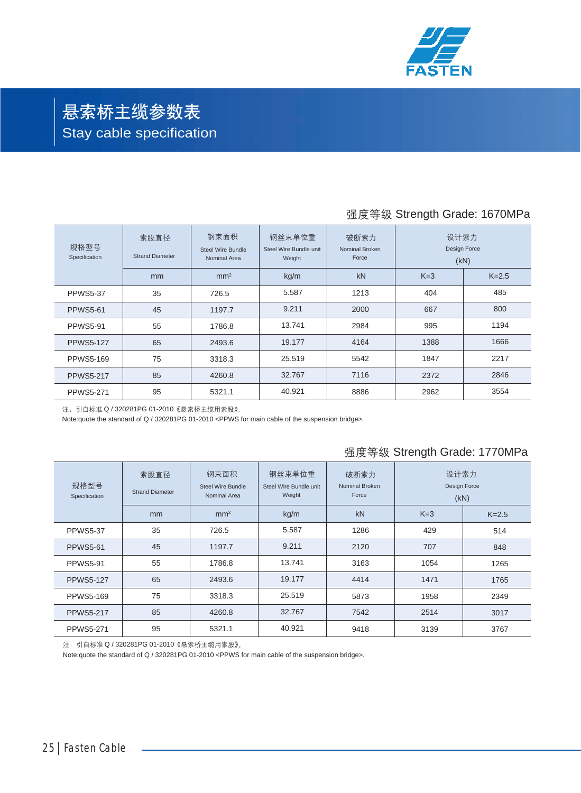

# 悬索桥主缆参数表 Stay cable specification

## 强度等级 Strength Grade: 1670MPa

| 规格型号<br>Specification | 索股直径<br><b>Strand Diameter</b> | 钢束面积<br><b>Steel Wire Bundle</b><br>Nominal Area | 钢丝束单位重<br>Steel Wire Bundle unit<br>Weight | 破断索力<br>Nominal Broken<br>Force | 设计索力<br>Design Force<br>(kN) |         |
|-----------------------|--------------------------------|--------------------------------------------------|--------------------------------------------|---------------------------------|------------------------------|---------|
|                       | mm                             | mm <sup>2</sup>                                  | kg/m                                       | kN                              | $K=3$                        | $K=2.5$ |
| <b>PPWS5-37</b>       | 35                             | 726.5                                            | 5.587                                      | 1213                            | 404                          | 485     |
| <b>PPWS5-61</b>       | 45                             | 1197.7                                           | 9.211                                      | 2000                            | 667                          | 800     |
| <b>PPWS5-91</b>       | 55                             | 1786.8                                           | 13.741                                     | 2984                            | 995                          | 1194    |
| <b>PPWS5-127</b>      | 65                             | 2493.6                                           | 19.177                                     | 4164                            | 1388                         | 1666    |
| <b>PPWS5-169</b>      | 75                             | 3318.3                                           | 25.519                                     | 5542                            | 1847                         | 2217    |
| <b>PPWS5-217</b>      | 85                             | 4260.8                                           | 32.767                                     | 7116                            | 2372                         | 2846    |
| <b>PPWS5-271</b>      | 95                             | 5321.1                                           | 40.921                                     | 8886                            | 2962                         | 3554    |

注:引自标准 Q / 320281PG 01-2010《悬索桥主缆用索股》。

Note:quote the standard of Q / 320281PG 01-2010 <PPWS for main cable of the suspension bridge>.

#### 强度等级 Strength Grade: 1770MPa

| 规格型号<br>Specification | 索股直径<br><b>Strand Diameter</b> | 钢束面积<br>Steel Wire Bundle<br>Nominal Area | 钢丝束单位重<br>Steel Wire Bundle unit<br>Weight | 破断索力<br>Nominal Broken<br>Force | 设计索力<br>Design Force<br>(kN) |           |
|-----------------------|--------------------------------|-------------------------------------------|--------------------------------------------|---------------------------------|------------------------------|-----------|
|                       | mm                             | mm <sup>2</sup>                           | kg/m                                       | kN                              | $K=3$                        | $K = 2.5$ |
| <b>PPWS5-37</b>       | 35                             | 726.5                                     | 5.587                                      | 1286                            | 429                          | 514       |
| <b>PPWS5-61</b>       | 45                             | 1197.7                                    | 9.211                                      | 2120                            | 707                          | 848       |
| <b>PPWS5-91</b>       | 55                             | 1786.8                                    | 13.741                                     | 3163                            | 1054                         | 1265      |
| <b>PPWS5-127</b>      | 65                             | 2493.6                                    | 19.177                                     | 4414                            | 1471                         | 1765      |
| <b>PPWS5-169</b>      | 75                             | 3318.3                                    | 25.519                                     | 5873                            | 1958                         | 2349      |
| <b>PPWS5-217</b>      | 85                             | 4260.8                                    | 32.767                                     | 7542                            | 2514                         | 3017      |
| <b>PPWS5-271</b>      | 95                             | 5321.1                                    | 40.921                                     | 9418                            | 3139                         | 3767      |

注:引自标准 Q / 320281PG 01-2010《悬索桥主缆用索股》。

Note:quote the standard of Q / 320281PG 01-2010 <PPWS for main cable of the suspension bridge>.